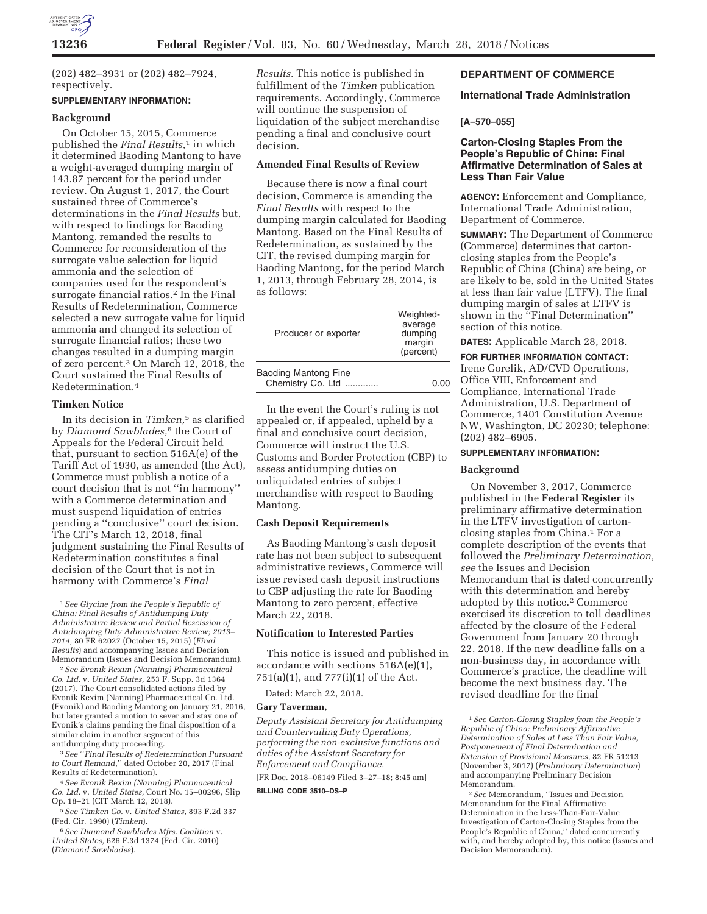

(202) 482–3931 or (202) 482–7924, respectively.

# **SUPPLEMENTARY INFORMATION:**

### **Background**

On October 15, 2015, Commerce published the *Final Results,*1 in which it determined Baoding Mantong to have a weight-averaged dumping margin of 143.87 percent for the period under review. On August 1, 2017, the Court sustained three of Commerce's determinations in the *Final Results* but, with respect to findings for Baoding Mantong, remanded the results to Commerce for reconsideration of the surrogate value selection for liquid ammonia and the selection of companies used for the respondent's surrogate financial ratios.<sup>2</sup> In the Final Results of Redetermination, Commerce selected a new surrogate value for liquid ammonia and changed its selection of surrogate financial ratios; these two changes resulted in a dumping margin of zero percent.3 On March 12, 2018, the Court sustained the Final Results of Redetermination.4

## **Timken Notice**

In its decision in *Timken,*5 as clarified by *Diamond Sawblades,*6 the Court of Appeals for the Federal Circuit held that, pursuant to section 516A(e) of the Tariff Act of 1930, as amended (the Act), Commerce must publish a notice of a court decision that is not ''in harmony'' with a Commerce determination and must suspend liquidation of entries pending a ''conclusive'' court decision. The CIT's March 12, 2018, final judgment sustaining the Final Results of Redetermination constitutes a final decision of the Court that is not in harmony with Commerce's *Final* 

2*See Evonik Rexim (Nanning) Pharmaceutical Co. Ltd.* v. *United States,* 253 F. Supp. 3d 1364 (2017). The Court consolidated actions filed by Evonik Rexim (Nanning) Pharmaceutical Co. Ltd. (Evonik) and Baoding Mantong on January 21, 2016, but later granted a motion to sever and stay one of Evonik's claims pending the final disposition of a similar claim in another segment of this antidumping duty proceeding.

3*See* ''*Final Results of Redetermination Pursuant to Court Remand,*'' dated October 20, 2017 (Final Results of Redetermination).

4*See Evonik Rexim (Nanning) Pharmaceutical Co. Ltd.* v. *United States,* Court No. 15–00296, Slip Op. 18–21 (CIT March 12, 2018).

6*See Diamond Sawblades Mfrs. Coalition* v. *United States,* 626 F.3d 1374 (Fed. Cir. 2010) (*Diamond Sawblades*).

*Results.* This notice is published in fulfillment of the *Timken* publication requirements. Accordingly, Commerce will continue the suspension of liquidation of the subject merchandise pending a final and conclusive court decision.

# **Amended Final Results of Review**

Because there is now a final court decision, Commerce is amending the *Final Results* with respect to the dumping margin calculated for Baoding Mantong. Based on the Final Results of Redetermination, as sustained by the CIT, the revised dumping margin for Baoding Mantong, for the period March 1, 2013, through February 28, 2014, is as follows:

| Producer or exporter                             | Weighted-<br>average<br>dumping<br>margin<br>(percent) |
|--------------------------------------------------|--------------------------------------------------------|
| <b>Baoding Mantong Fine</b><br>Chemistry Co. Ltd | 0.OO                                                   |

In the event the Court's ruling is not appealed or, if appealed, upheld by a final and conclusive court decision, Commerce will instruct the U.S. Customs and Border Protection (CBP) to assess antidumping duties on unliquidated entries of subject merchandise with respect to Baoding Mantong.

# **Cash Deposit Requirements**

As Baoding Mantong's cash deposit rate has not been subject to subsequent administrative reviews, Commerce will issue revised cash deposit instructions to CBP adjusting the rate for Baoding Mantong to zero percent, effective March 22, 2018.

## **Notification to Interested Parties**

This notice is issued and published in accordance with sections 516A(e)(1), 751(a)(1), and 777(i)(1) of the Act.

Dated: March 22, 2018.

#### **Gary Taverman,**

*Deputy Assistant Secretary for Antidumping and Countervailing Duty Operations, performing the non-exclusive functions and duties of the Assistant Secretary for Enforcement and Compliance.*  [FR Doc. 2018–06149 Filed 3–27–18; 8:45 am]

#### **BILLING CODE 3510–DS–P**

# **DEPARTMENT OF COMMERCE**

### **International Trade Administration**

## **[A–570–055]**

# **Carton-Closing Staples From the People's Republic of China: Final Affirmative Determination of Sales at Less Than Fair Value**

**AGENCY:** Enforcement and Compliance, International Trade Administration, Department of Commerce.

**SUMMARY:** The Department of Commerce (Commerce) determines that cartonclosing staples from the People's Republic of China (China) are being, or are likely to be, sold in the United States at less than fair value (LTFV). The final dumping margin of sales at LTFV is shown in the ''Final Determination'' section of this notice.

**DATES:** Applicable March 28, 2018.

**FOR FURTHER INFORMATION CONTACT:**  Irene Gorelik, AD/CVD Operations,

Office VIII, Enforcement and Compliance, International Trade Administration, U.S. Department of Commerce, 1401 Constitution Avenue NW, Washington, DC 20230; telephone: (202) 482–6905.

# **SUPPLEMENTARY INFORMATION:**

# **Background**

On November 3, 2017, Commerce published in the **Federal Register** its preliminary affirmative determination in the LTFV investigation of cartonclosing staples from China.1 For a complete description of the events that followed the *Preliminary Determination, see* the Issues and Decision Memorandum that is dated concurrently with this determination and hereby adopted by this notice.2 Commerce exercised its discretion to toll deadlines affected by the closure of the Federal Government from January 20 through 22, 2018. If the new deadline falls on a non-business day, in accordance with Commerce's practice, the deadline will become the next business day. The revised deadline for the final

<sup>1</sup>*See Glycine from the People's Republic of China: Final Results of Antidumping Duty Administrative Review and Partial Rescission of Antidumping Duty Administrative Review; 2013– 2014,* 80 FR 62027 (October 15, 2015) (*Final Results*) and accompanying Issues and Decision Memorandum (Issues and Decision Memorandum).

<sup>5</sup>*See Timken Co.* v. *United States,* 893 F.2d 337 (Fed. Cir. 1990) (*Timken*).

<sup>1</sup>*See Carton-Closing Staples from the People's Republic of China: Preliminary Affirmative Determination of Sales at Less Than Fair Value, Postponement of Final Determination and Extension of Provisional Measures,* 82 FR 51213 (November 3, 2017) (*Preliminary Determination*) and accompanying Preliminary Decision Memorandum.

<sup>2</sup>*See* Memorandum, ''Issues and Decision Memorandum for the Final Affirmative Determination in the Less-Than-Fair-Value Investigation of Carton-Closing Staples from the People's Republic of China,'' dated concurrently with, and hereby adopted by, this notice (Issues and Decision Memorandum).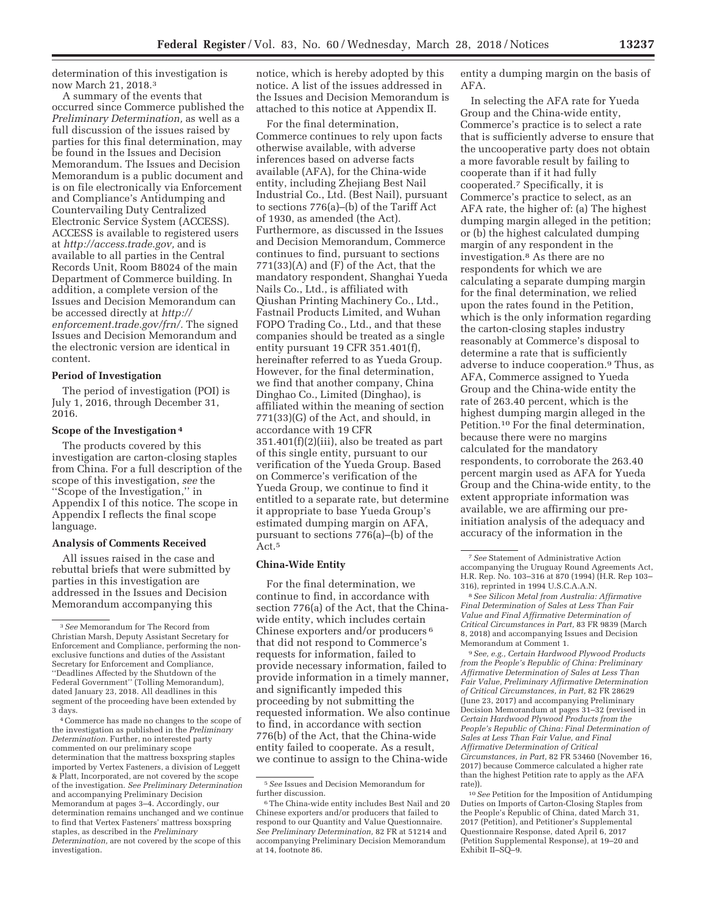determination of this investigation is now March 21, 2018.3

A summary of the events that occurred since Commerce published the *Preliminary Determination,* as well as a full discussion of the issues raised by parties for this final determination, may be found in the Issues and Decision Memorandum. The Issues and Decision Memorandum is a public document and is on file electronically via Enforcement and Compliance's Antidumping and Countervailing Duty Centralized Electronic Service System (ACCESS). ACCESS is available to registered users at *http://access.trade.gov,* and is available to all parties in the Central Records Unit, Room B8024 of the main Department of Commerce building. In addition, a complete version of the Issues and Decision Memorandum can be accessed directly at *http:// enforcement.trade.gov/frn/.* The signed Issues and Decision Memorandum and the electronic version are identical in content.

## **Period of Investigation**

The period of investigation (POI) is July 1, 2016, through December 31, 2016.

### **Scope of the Investigation 4**

The products covered by this investigation are carton-closing staples from China. For a full description of the scope of this investigation, *see* the ''Scope of the Investigation,'' in Appendix I of this notice. The scope in Appendix I reflects the final scope language.

# **Analysis of Comments Received**

All issues raised in the case and rebuttal briefs that were submitted by parties in this investigation are addressed in the Issues and Decision Memorandum accompanying this

notice, which is hereby adopted by this notice. A list of the issues addressed in the Issues and Decision Memorandum is attached to this notice at Appendix II.

For the final determination, Commerce continues to rely upon facts otherwise available, with adverse inferences based on adverse facts available (AFA), for the China-wide entity, including Zhejiang Best Nail Industrial Co., Ltd. (Best Nail), pursuant to sections 776(a)–(b) of the Tariff Act of 1930, as amended (the Act). Furthermore, as discussed in the Issues and Decision Memorandum, Commerce continues to find, pursuant to sections  $771(33)(A)$  and  $(F)$  of the Act, that the mandatory respondent, Shanghai Yueda Nails Co., Ltd., is affiliated with Qiushan Printing Machinery Co., Ltd., Fastnail Products Limited, and Wuhan FOPO Trading Co., Ltd., and that these companies should be treated as a single entity pursuant 19 CFR 351.401(f), hereinafter referred to as Yueda Group. However, for the final determination, we find that another company, China Dinghao Co., Limited (Dinghao), is affiliated within the meaning of section 771(33)(G) of the Act, and should, in accordance with 19 CFR 351.401(f)(2)(iii), also be treated as part of this single entity, pursuant to our verification of the Yueda Group. Based on Commerce's verification of the Yueda Group, we continue to find it entitled to a separate rate, but determine it appropriate to base Yueda Group's estimated dumping margin on AFA, pursuant to sections 776(a)–(b) of the Act.5

# **China-Wide Entity**

For the final determination, we continue to find, in accordance with section 776(a) of the Act, that the Chinawide entity, which includes certain Chinese exporters and/or producers 6 that did not respond to Commerce's requests for information, failed to provide necessary information, failed to provide information in a timely manner, and significantly impeded this proceeding by not submitting the requested information. We also continue to find, in accordance with section 776(b) of the Act, that the China-wide entity failed to cooperate. As a result, we continue to assign to the China-wide

entity a dumping margin on the basis of AFA.

In selecting the AFA rate for Yueda Group and the China-wide entity, Commerce's practice is to select a rate that is sufficiently adverse to ensure that the uncooperative party does not obtain a more favorable result by failing to cooperate than if it had fully cooperated.7 Specifically, it is Commerce's practice to select, as an AFA rate, the higher of: (a) The highest dumping margin alleged in the petition; or (b) the highest calculated dumping margin of any respondent in the investigation.8 As there are no respondents for which we are calculating a separate dumping margin for the final determination, we relied upon the rates found in the Petition, which is the only information regarding the carton-closing staples industry reasonably at Commerce's disposal to determine a rate that is sufficiently adverse to induce cooperation.9 Thus, as AFA, Commerce assigned to Yueda Group and the China-wide entity the rate of 263.40 percent, which is the highest dumping margin alleged in the Petition.10 For the final determination, because there were no margins calculated for the mandatory respondents, to corroborate the 263.40 percent margin used as AFA for Yueda Group and the China-wide entity, to the extent appropriate information was available, we are affirming our preinitiation analysis of the adequacy and accuracy of the information in the

8*See Silicon Metal from Australia: Affirmative Final Determination of Sales at Less Than Fair Value and Final Affirmative Determination of Critical Circumstances in Part,* 83 FR 9839 (March 8, 2018) and accompanying Issues and Decision Memorandum at Comment 1.

9*See, e.g., Certain Hardwood Plywood Products from the People's Republic of China: Preliminary Affirmative Determination of Sales at Less Than Fair Value, Preliminary Affirmative Determination of Critical Circumstances, in Part,* 82 FR 28629 (June 23, 2017) and accompanying Preliminary Decision Memorandum at pages 31–32 (revised in *Certain Hardwood Plywood Products from the People's Republic of China: Final Determination of Sales at Less Than Fair Value, and Final Affirmative Determination of Critical Circumstances, in Part,* 82 FR 53460 (November 16, 2017) because Commerce calculated a higher rate than the highest Petition rate to apply as the AFA rate)).

10*See* Petition for the Imposition of Antidumping Duties on Imports of Carton-Closing Staples from the People's Republic of China, dated March 31, 2017 (Petition), and Petitioner's Supplemental Questionnaire Response, dated April 6, 2017 (Petition Supplemental Response), at 19–20 and Exhibit II–SQ–9.

<sup>3</sup>*See* Memorandum for The Record from Christian Marsh, Deputy Assistant Secretary for Enforcement and Compliance, performing the nonexclusive functions and duties of the Assistant Secretary for Enforcement and Compliance, ''Deadlines Affected by the Shutdown of the Federal Government'' (Tolling Memorandum), dated January 23, 2018. All deadlines in this segment of the proceeding have been extended by 3 days.

<sup>4</sup>Commerce has made no changes to the scope of the investigation as published in the *Preliminary Determination.* Further, no interested party commented on our preliminary scope determination that the mattress boxspring staples imported by Vertex Fasteners, a division of Leggett & Platt, Incorporated, are not covered by the scope of the investigation. *See Preliminary Determination*  and accompanying Preliminary Decision Memorandum at pages 3–4. Accordingly, our determination remains unchanged and we continue to find that Vertex Fasteners' mattress boxspring staples, as described in the *Preliminary Determination,* are not covered by the scope of this investigation.

<sup>5</sup>*See* Issues and Decision Memorandum for further discussion.

<sup>6</sup>The China-wide entity includes Best Nail and 20 Chinese exporters and/or producers that failed to respond to our Quantity and Value Questionnaire. *See Preliminary Determination,* 82 FR at 51214 and accompanying Preliminary Decision Memorandum at 14, footnote 86.

<sup>7</sup>*See* Statement of Administrative Action accompanying the Uruguay Round Agreements Act, H.R. Rep. No. 103–316 at 870 (1994) (H.R. Rep 103– 316), reprinted in 1994 U.S.C.A.A.N.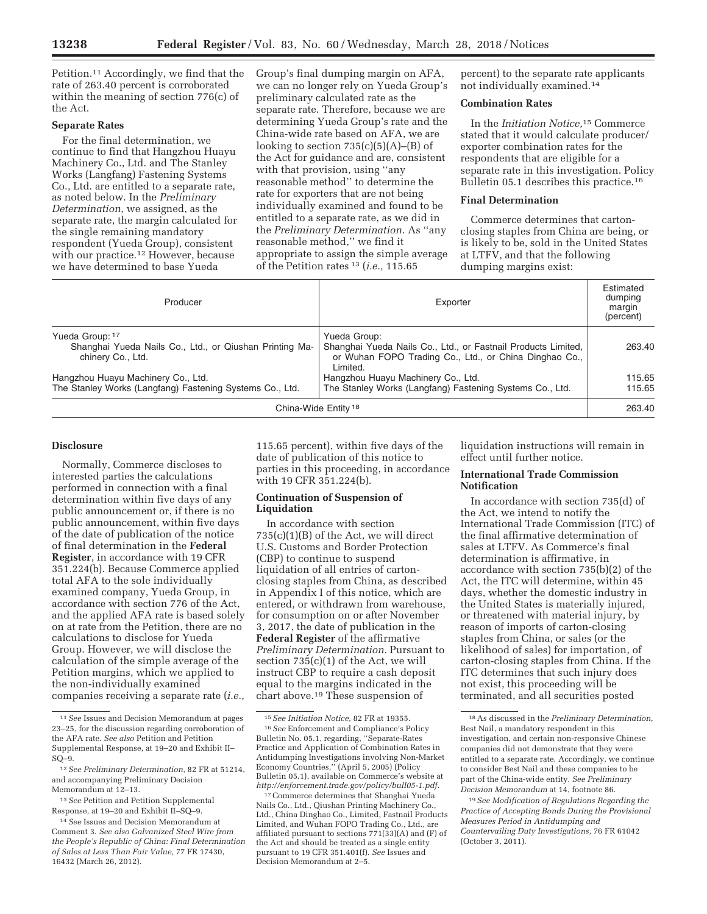Petition.11 Accordingly, we find that the rate of 263.40 percent is corroborated within the meaning of section 776(c) of the Act.

## **Separate Rates**

For the final determination, we continue to find that Hangzhou Huayu Machinery Co., Ltd. and The Stanley Works (Langfang) Fastening Systems Co., Ltd. are entitled to a separate rate, as noted below. In the *Preliminary Determination,* we assigned, as the separate rate, the margin calculated for the single remaining mandatory respondent (Yueda Group), consistent with our practice.<sup>12</sup> However, because we have determined to base Yueda

Group's final dumping margin on AFA, we can no longer rely on Yueda Group's preliminary calculated rate as the separate rate. Therefore, because we are determining Yueda Group's rate and the China-wide rate based on AFA, we are looking to section  $735(c)(5)(A)$ –(B) of the Act for guidance and are, consistent with that provision, using ''any reasonable method'' to determine the rate for exporters that are not being individually examined and found to be entitled to a separate rate, as we did in the *Preliminary Determination.* As ''any reasonable method,'' we find it appropriate to assign the simple average of the Petition rates 13 (*i.e.,* 115.65

percent) to the separate rate applicants not individually examined.14

### **Combination Rates**

In the *Initiation Notice,*15 Commerce stated that it would calculate producer/ exporter combination rates for the respondents that are eligible for a separate rate in this investigation. Policy Bulletin 05.1 describes this practice.16

#### **Final Determination**

Commerce determines that cartonclosing staples from China are being, or is likely to be, sold in the United States at LTFV, and that the following dumping margins exist:

| Producer                                                                                        | Exporter                                                                                                                                            | Estimated<br>dumping<br>margin<br>(percent) |
|-------------------------------------------------------------------------------------------------|-----------------------------------------------------------------------------------------------------------------------------------------------------|---------------------------------------------|
| Yueda Group: 17<br>Shanghai Yueda Nails Co., Ltd., or Qiushan Printing Ma-<br>chinery Co., Ltd. | Yueda Group:<br>Shanghai Yueda Nails Co., Ltd., or Fastnail Products Limited,<br>or Wuhan FOPO Trading Co., Ltd., or China Dinghao Co.,<br>Limited. | 263.40                                      |
| Hangzhou Huayu Machinery Co., Ltd.                                                              | Hangzhou Huayu Machinery Co., Ltd.                                                                                                                  | 115.65                                      |
| The Stanley Works (Langfang) Fastening Systems Co., Ltd.                                        | The Stanley Works (Langfang) Fastening Systems Co., Ltd.                                                                                            | 115.65                                      |
| China-Wide Entity <sup>18</sup>                                                                 |                                                                                                                                                     | 263.40                                      |

# **Disclosure**

Normally, Commerce discloses to interested parties the calculations performed in connection with a final determination within five days of any public announcement or, if there is no public announcement, within five days of the date of publication of the notice of final determination in the **Federal Register**, in accordance with 19 CFR 351.224(b). Because Commerce applied total AFA to the sole individually examined company, Yueda Group, in accordance with section 776 of the Act, and the applied AFA rate is based solely on at rate from the Petition, there are no calculations to disclose for Yueda Group. However, we will disclose the calculation of the simple average of the Petition margins, which we applied to the non-individually examined companies receiving a separate rate (*i.e.,*  115.65 percent), within five days of the date of publication of this notice to parties in this proceeding, in accordance with 19 CFR 351.224(b).

### **Continuation of Suspension of Liquidation**

In accordance with section 735(c)(1)(B) of the Act, we will direct U.S. Customs and Border Protection (CBP) to continue to suspend liquidation of all entries of cartonclosing staples from China, as described in Appendix I of this notice, which are entered, or withdrawn from warehouse, for consumption on or after November 3, 2017, the date of publication in the **Federal Register** of the affirmative *Preliminary Determination.* Pursuant to section 735(c)(1) of the Act, we will instruct CBP to require a cash deposit equal to the margins indicated in the chart above.19 These suspension of

liquidation instructions will remain in effect until further notice.

# **International Trade Commission Notification**

In accordance with section 735(d) of the Act, we intend to notify the International Trade Commission (ITC) of the final affirmative determination of sales at LTFV. As Commerce's final determination is affirmative, in accordance with section 735(b)(2) of the Act, the ITC will determine, within 45 days, whether the domestic industry in the United States is materially injured, or threatened with material injury, by reason of imports of carton-closing staples from China, or sales (or the likelihood of sales) for importation, of carton-closing staples from China. If the ITC determines that such injury does not exist, this proceeding will be terminated, and all securities posted

<sup>11</sup>*See* Issues and Decision Memorandum at pages 23–25, for the discussion regarding corroboration of the AFA rate. *See also* Petition and Petition Supplemental Response, at 19–20 and Exhibit II– SQ–9.

<sup>12</sup>*See Preliminary Determination,* 82 FR at 51214, and accompanying Preliminary Decision Memorandum at 12–13.

<sup>13</sup>*See* Petition and Petition Supplemental Response, at 19–20 and Exhibit II–SQ–9.

<sup>14</sup>*See* Issues and Decision Memorandum at Comment 3. *See also Galvanized Steel Wire from the People's Republic of China: Final Determination of Sales at Less Than Fair Value,* 77 FR 17430, 16432 (March 26, 2012).

<sup>15</sup>*See Initiation Notice,* 82 FR at 19355.

<sup>16</sup>*See* Enforcement and Compliance's Policy Bulletin No. 05.1, regarding, ''Separate-Rates Practice and Application of Combination Rates in Antidumping Investigations involving Non-Market Economy Countries,'' (April 5, 2005) (Policy Bulletin 05.1), available on Commerce's website at *http://enforcement.trade.gov/policy/bull05-1.pdf.* 

<sup>17</sup>Commerce determines that Shanghai Yueda Nails Co., Ltd., Qiushan Printing Machinery Co., Ltd., China Dinghao Co., Limited, Fastnail Products Limited, and Wuhan FOPO Trading Co., Ltd., are affiliated pursuant to sections 771(33)(A) and (F) of the Act and should be treated as a single entity pursuant to 19 CFR 351.401(f). *See* Issues and Decision Memorandum at 2–5.

<sup>18</sup>As discussed in the *Preliminary Determination,*  Best Nail, a mandatory respondent in this investigation, and certain non-responsive Chinese companies did not demonstrate that they were entitled to a separate rate. Accordingly, we continue to consider Best Nail and these companies to be part of the China-wide entity. *See Preliminary Decision Memorandum* at 14, footnote 86.

<sup>19</sup>*See Modification of Regulations Regarding the Practice of Accepting Bonds During the Provisional Measures Period in Antidumping and Countervailing Duty Investigations,* 76 FR 61042 (October 3, 2011).